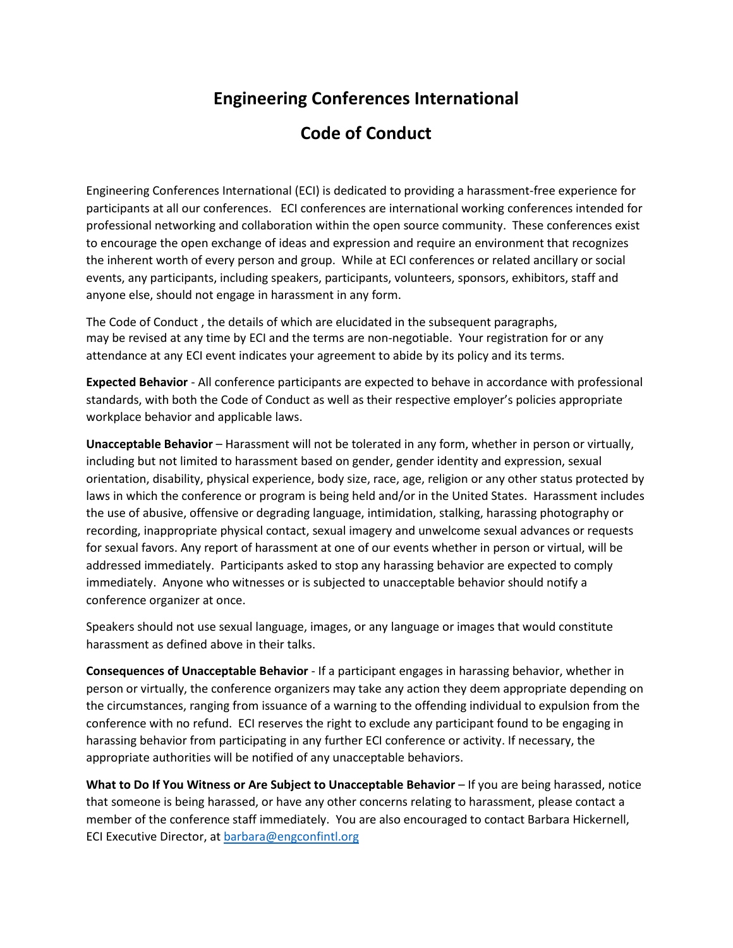## **Engineering Conferences International**

## **Code of Conduct**

Engineering Conferences International (ECI) is dedicated to providing a harassment-free experience for participants at all our conferences. ECI conferences are international working conferences intended for professional networking and collaboration within the open source community. These conferences exist to encourage the open exchange of ideas and expression and require an environment that recognizes the inherent worth of every person and group. While at ECI conferences or related ancillary or social events, any participants, including speakers, participants, volunteers, sponsors, exhibitors, staff and anyone else, should not engage in harassment in any form.

The Code of Conduct , the details of which are elucidated in the subsequent paragraphs, may be revised at any time by ECI and the terms are non-negotiable. Your registration for or any attendance at any ECI event indicates your agreement to abide by its policy and its terms.

**Expected Behavior** - All conference participants are expected to behave in accordance with professional standards, with both the Code of Conduct as well as their respective employer's policies appropriate workplace behavior and applicable laws.

**Unacceptable Behavior** – Harassment will not be tolerated in any form, whether in person or virtually, including but not limited to harassment based on gender, gender identity and expression, sexual orientation, disability, physical experience, body size, race, age, religion or any other status protected by laws in which the conference or program is being held and/or in the United States. Harassment includes the use of abusive, offensive or degrading language, intimidation, stalking, harassing photography or recording, inappropriate physical contact, sexual imagery and unwelcome sexual advances or requests for sexual favors. Any report of harassment at one of our events whether in person or virtual, will be addressed immediately. Participants asked to stop any harassing behavior are expected to comply immediately. Anyone who witnesses or is subjected to unacceptable behavior should notify a conference organizer at once.

Speakers should not use sexual language, images, or any language or images that would constitute harassment as defined above in their talks.

**Consequences of Unacceptable Behavior** - If a participant engages in harassing behavior, whether in person or virtually, the conference organizers may take any action they deem appropriate depending on the circumstances, ranging from issuance of a warning to the offending individual to expulsion from the conference with no refund. ECI reserves the right to exclude any participant found to be engaging in harassing behavior from participating in any further ECI conference or activity. If necessary, the appropriate authorities will be notified of any unacceptable behaviors.

**What to Do If You Witness or Are Subject to Unacceptable Behavior** – If you are being harassed, notice that someone is being harassed, or have any other concerns relating to harassment, please contact a member of the conference staff immediately. You are also encouraged to contact Barbara Hickernell, ECI Executive Director, at [barbara@engconfintl.org](mailto:barbara@engconfintl.org)